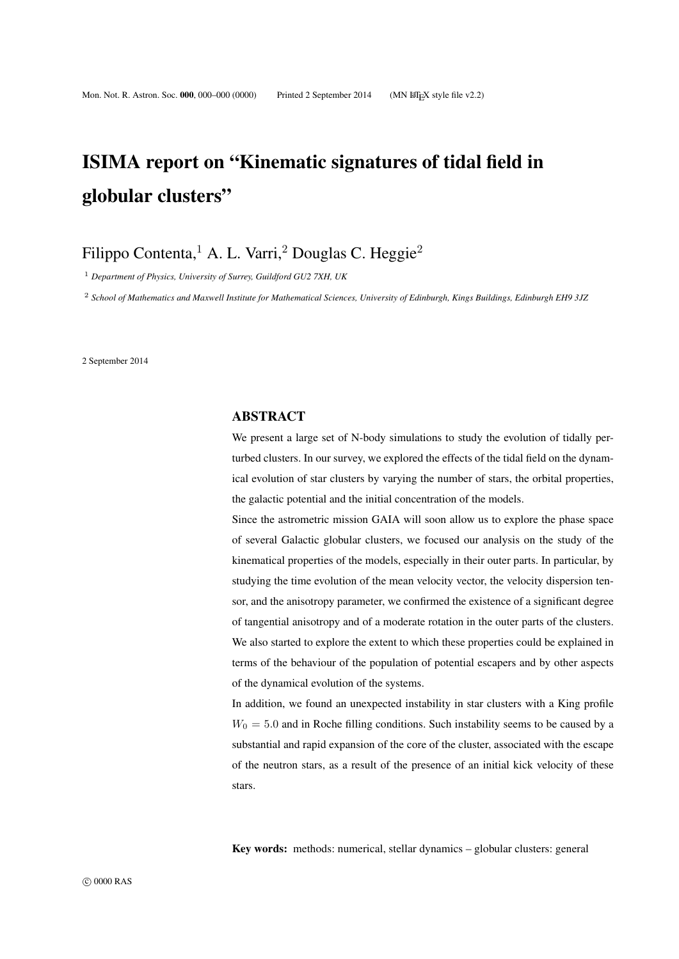# ISIMA report on "Kinematic signatures of tidal field in globular clusters"

Filippo Contenta,<sup>1</sup> A. L. Varri,<sup>2</sup> Douglas C. Heggie<sup>2</sup>

<sup>1</sup> *Department of Physics, University of Surrey, Guildford GU2 7XH, UK*

<sup>2</sup> *School of Mathematics and Maxwell Institute for Mathematical Sciences, University of Edinburgh, Kings Buildings, Edinburgh EH9 3JZ*

2 September 2014

#### ABSTRACT

We present a large set of N-body simulations to study the evolution of tidally perturbed clusters. In our survey, we explored the effects of the tidal field on the dynamical evolution of star clusters by varying the number of stars, the orbital properties, the galactic potential and the initial concentration of the models.

Since the astrometric mission GAIA will soon allow us to explore the phase space of several Galactic globular clusters, we focused our analysis on the study of the kinematical properties of the models, especially in their outer parts. In particular, by studying the time evolution of the mean velocity vector, the velocity dispersion tensor, and the anisotropy parameter, we confirmed the existence of a significant degree of tangential anisotropy and of a moderate rotation in the outer parts of the clusters. We also started to explore the extent to which these properties could be explained in terms of the behaviour of the population of potential escapers and by other aspects of the dynamical evolution of the systems.

In addition, we found an unexpected instability in star clusters with a King profile  $W_0 = 5.0$  and in Roche filling conditions. Such instability seems to be caused by a substantial and rapid expansion of the core of the cluster, associated with the escape of the neutron stars, as a result of the presence of an initial kick velocity of these stars.

Key words: methods: numerical, stellar dynamics – globular clusters: general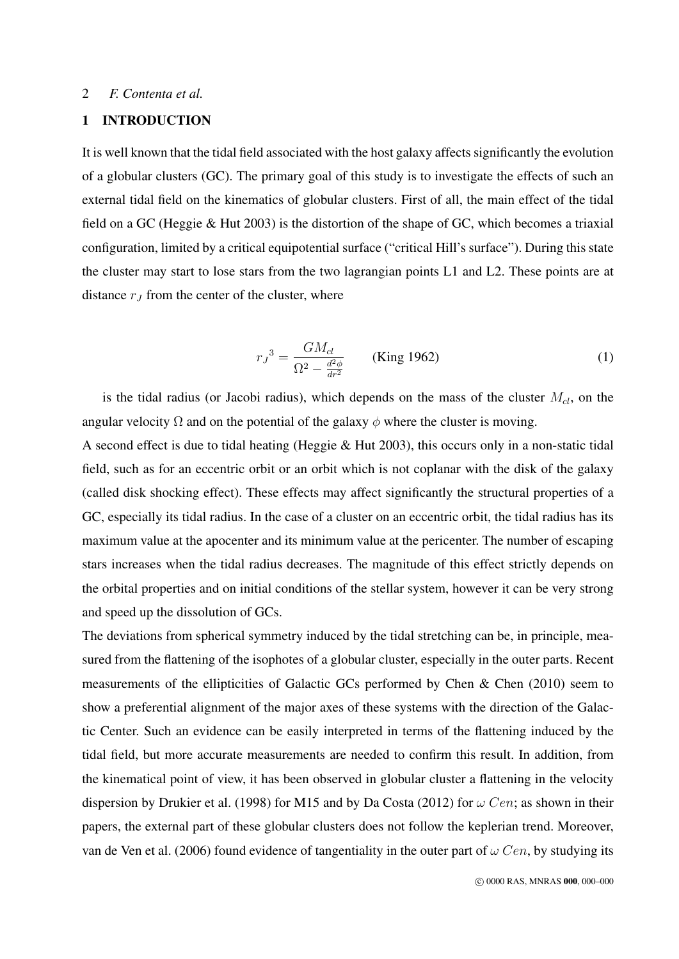## 1 INTRODUCTION

It is well known that the tidal field associated with the host galaxy affects significantly the evolution of a globular clusters (GC). The primary goal of this study is to investigate the effects of such an external tidal field on the kinematics of globular clusters. First of all, the main effect of the tidal field on a GC (Heggie & Hut 2003) is the distortion of the shape of GC, which becomes a triaxial configuration, limited by a critical equipotential surface ("critical Hill's surface"). During this state the cluster may start to lose stars from the two lagrangian points L1 and L2. These points are at distance  $r_J$  from the center of the cluster, where

$$
r_J^3 = \frac{GM_{cl}}{\Omega^2 - \frac{d^2\phi}{dr^2}}
$$
 (King 1962) (1)

is the tidal radius (or Jacobi radius), which depends on the mass of the cluster  $M_{cl}$ , on the angular velocity  $\Omega$  and on the potential of the galaxy  $\phi$  where the cluster is moving.

A second effect is due to tidal heating (Heggie & Hut 2003), this occurs only in a non-static tidal field, such as for an eccentric orbit or an orbit which is not coplanar with the disk of the galaxy (called disk shocking effect). These effects may affect significantly the structural properties of a GC, especially its tidal radius. In the case of a cluster on an eccentric orbit, the tidal radius has its maximum value at the apocenter and its minimum value at the pericenter. The number of escaping stars increases when the tidal radius decreases. The magnitude of this effect strictly depends on the orbital properties and on initial conditions of the stellar system, however it can be very strong and speed up the dissolution of GCs.

The deviations from spherical symmetry induced by the tidal stretching can be, in principle, measured from the flattening of the isophotes of a globular cluster, especially in the outer parts. Recent measurements of the ellipticities of Galactic GCs performed by Chen & Chen (2010) seem to show a preferential alignment of the major axes of these systems with the direction of the Galactic Center. Such an evidence can be easily interpreted in terms of the flattening induced by the tidal field, but more accurate measurements are needed to confirm this result. In addition, from the kinematical point of view, it has been observed in globular cluster a flattening in the velocity dispersion by Drukier et al. (1998) for M15 and by Da Costa (2012) for  $\omega$  Cen; as shown in their papers, the external part of these globular clusters does not follow the keplerian trend. Moreover, van de Ven et al. (2006) found evidence of tangentiality in the outer part of  $\omega$  Cen, by studying its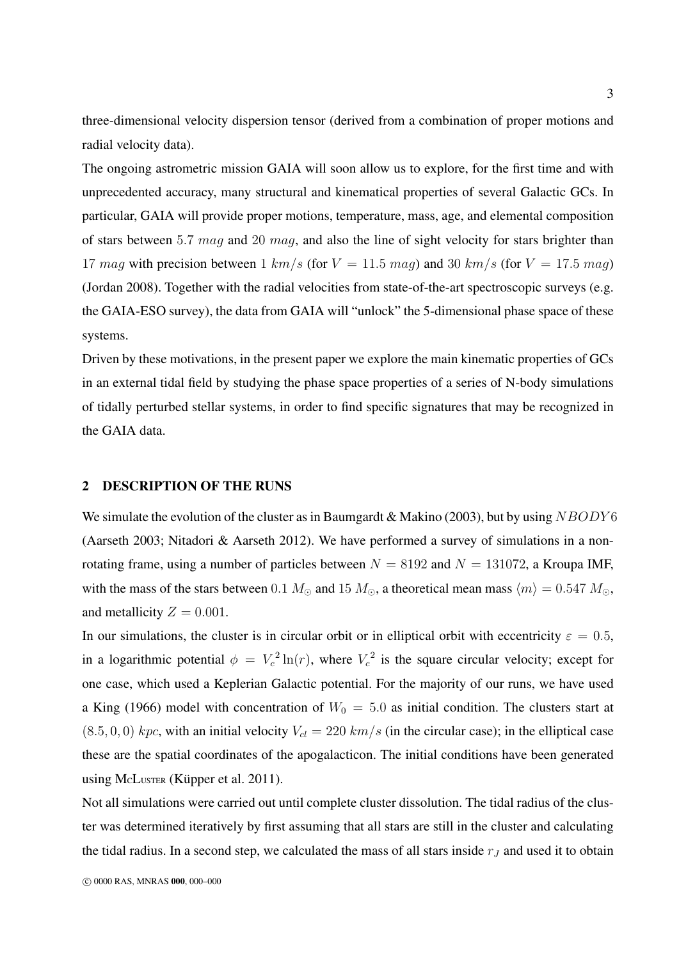three-dimensional velocity dispersion tensor (derived from a combination of proper motions and radial velocity data).

The ongoing astrometric mission GAIA will soon allow us to explore, for the first time and with unprecedented accuracy, many structural and kinematical properties of several Galactic GCs. In particular, GAIA will provide proper motions, temperature, mass, age, and elemental composition of stars between 5.7 mag and 20 mag, and also the line of sight velocity for stars brighter than 17 mag with precision between 1 km/s (for  $V = 11.5$  mag) and 30 km/s (for  $V = 17.5$  mag) (Jordan 2008). Together with the radial velocities from state-of-the-art spectroscopic surveys (e.g. the GAIA-ESO survey), the data from GAIA will "unlock" the 5-dimensional phase space of these systems.

Driven by these motivations, in the present paper we explore the main kinematic properties of GCs in an external tidal field by studying the phase space properties of a series of N-body simulations of tidally perturbed stellar systems, in order to find specific signatures that may be recognized in the GAIA data.

#### 2 DESCRIPTION OF THE RUNS

We simulate the evolution of the cluster as in Baumgardt & Makino (2003), but by using  $NBODY6$ (Aarseth 2003; Nitadori & Aarseth 2012). We have performed a survey of simulations in a nonrotating frame, using a number of particles between  $N = 8192$  and  $N = 131072$ , a Kroupa IMF, with the mass of the stars between 0.1  $M_{\odot}$  and 15  $M_{\odot}$ , a theoretical mean mass  $\langle m \rangle = 0.547$   $M_{\odot}$ , and metallicity  $Z = 0.001$ .

In our simulations, the cluster is in circular orbit or in elliptical orbit with eccentricity  $\varepsilon = 0.5$ , in a logarithmic potential  $\phi = V_c^2 \ln(r)$ , where  $V_c^2$  is the square circular velocity; except for one case, which used a Keplerian Galactic potential. For the majority of our runs, we have used a King (1966) model with concentration of  $W_0 = 5.0$  as initial condition. The clusters start at  $(8.5, 0, 0)$  kpc, with an initial velocity  $V_{cl} = 220$  km/s (in the circular case); in the elliptical case these are the spatial coordinates of the apogalacticon. The initial conditions have been generated using McLuster (Küpper et al.  $2011$ ).

Not all simulations were carried out until complete cluster dissolution. The tidal radius of the cluster was determined iteratively by first assuming that all stars are still in the cluster and calculating the tidal radius. In a second step, we calculated the mass of all stars inside  $r<sub>J</sub>$  and used it to obtain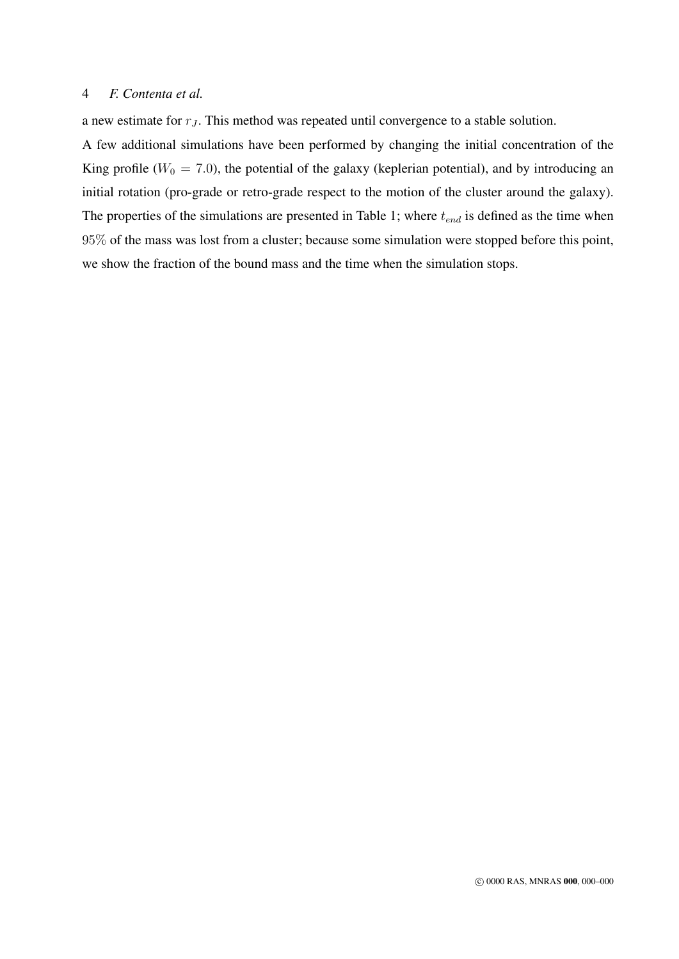a new estimate for  $r<sub>J</sub>$ . This method was repeated until convergence to a stable solution.

A few additional simulations have been performed by changing the initial concentration of the King profile ( $W_0 = 7.0$ ), the potential of the galaxy (keplerian potential), and by introducing an initial rotation (pro-grade or retro-grade respect to the motion of the cluster around the galaxy). The properties of the simulations are presented in Table 1; where  $t_{end}$  is defined as the time when 95% of the mass was lost from a cluster; because some simulation were stopped before this point, we show the fraction of the bound mass and the time when the simulation stops.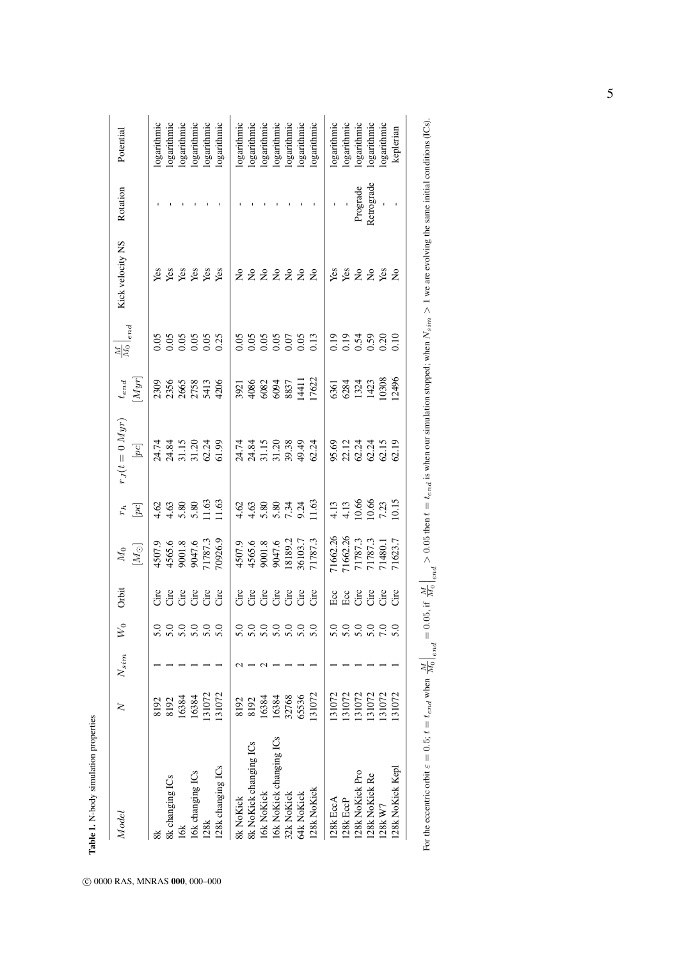| Model                   | z      | $N_{sim}$ | $\gtrapprox$     | Orbit                 | $[M_{\odot}]$<br>$\overline{M}_0$                                     | $[pc] \centering% \includegraphics[width=0.9\columnwidth]{figures/2000.pdf} \caption{The 3D (black) model for the $2D$-evolution of the estimators (black) model for the $D$-evolution of the $D$-evolution of the $D$-evolution of the $D$-evolution of the $D$-evolution of the $D$-evolution of the $D$-evolution of the $D$-evolution of the $D$-evolution of the $D$-evolution of the $D$-evolution of the $D$-evolution of the $D$-evolution of the $D$-evolution of the $D$-evolution of the $D$-evolution of the $D$-evolution of the $D$-evolution of the $D$-evolution of the $D$-evolution of the $D$<br>$r_h$ | $r_J(t=0\,Myr)$<br>$[pc] \centering% \includegraphics[width=0.9\columnwidth]{figures/2000.pdf} \caption{The 3D (black) model for the $z$-axis. The left side is the same as in Figure~\ref{fig:10}. The right side is the same as in Figure~\ref{fig:20}. The right side is the same as in Figure~\ref{fig:20}. The right side is the same as in Figure~\ref{fig:20}. The right side is the same as in Figure~\ref{fig:20}. The right side is the same as in Figure~\ref{fig:20}. The right side is the same as inFigure~\ref{fig:20}. The right side is the same as inFigure~\ref{fig:20}. The right side is the same as inFigure~\ref{fig:20}. The right side is the same as inFigure~\$ | $[Myr]% \centering \includegraphics[width=0.9\columnwidth]{figures/fig_10.pdf} \caption{The 3D (top) and the 4D (bottom) of the 3D (bottom) of the 3D (bottom) of the 3D (bottom) of the 3D (bottom) of the 3D (bottom) of the 3D (bottom). The 3D (bottom) of the 3D (bottom) of the 3D (bottom). The 3D (bottom) of the 3D (bottom) of the 3D (bottom). The 3D (bottom) of the 3D (bottom) of the 3D (bottom). The 3D (bottom) of the 3D (bottom). The 3D (bottom) of the 3D (bottom) of the 3D (bottom). The 3D (bottom) of the 3D (bottom) of the 3$<br>$t_{end}$ | $\frac{M}{M_0}\bigg _{end}$          | Kick velocity NS              | Rotation   | Potential   |
|-------------------------|--------|-----------|------------------|-----------------------|-----------------------------------------------------------------------|---------------------------------------------------------------------------------------------------------------------------------------------------------------------------------------------------------------------------------------------------------------------------------------------------------------------------------------------------------------------------------------------------------------------------------------------------------------------------------------------------------------------------------------------------------------------------------------------------------------------------|--------------------------------------------------------------------------------------------------------------------------------------------------------------------------------------------------------------------------------------------------------------------------------------------------------------------------------------------------------------------------------------------------------------------------------------------------------------------------------------------------------------------------------------------------------------------------------------------------------------------------------------------------------------------------------------------|-----------------------------------------------------------------------------------------------------------------------------------------------------------------------------------------------------------------------------------------------------------------------------------------------------------------------------------------------------------------------------------------------------------------------------------------------------------------------------------------------------------------------------------------------------------------------|--------------------------------------|-------------------------------|------------|-------------|
| జ                       | 8192   |           | $\frac{0}{2}$    |                       | 4507.9<br>4565.6<br>9001.8<br>9047.6<br>71787.3                       | $4.63$<br>$4.63$<br>$5.80$<br>$1.63$<br>$1.63$                                                                                                                                                                                                                                                                                                                                                                                                                                                                                                                                                                            | 74<br>24.19<br>25.20<br>25.20<br>25.20                                                                                                                                                                                                                                                                                                                                                                                                                                                                                                                                                                                                                                                     | 2309<br>2356<br>265<br>2758<br>4206                                                                                                                                                                                                                                                                                                                                                                                                                                                                                                                                   | 0.05<br>0.05<br>0.05<br>0.05         |                               |            | logarithmic |
| 8k changing ICs         | 8192   |           | $\frac{0}{5}$ .0 |                       |                                                                       |                                                                                                                                                                                                                                                                                                                                                                                                                                                                                                                                                                                                                           |                                                                                                                                                                                                                                                                                                                                                                                                                                                                                                                                                                                                                                                                                            |                                                                                                                                                                                                                                                                                                                                                                                                                                                                                                                                                                       |                                      |                               |            | logarithmic |
| 16 <sup>k</sup>         | 16384  |           |                  |                       |                                                                       |                                                                                                                                                                                                                                                                                                                                                                                                                                                                                                                                                                                                                           |                                                                                                                                                                                                                                                                                                                                                                                                                                                                                                                                                                                                                                                                                            |                                                                                                                                                                                                                                                                                                                                                                                                                                                                                                                                                                       |                                      |                               |            | logarithmic |
| 16k changing ICs        | 16384  |           | 5.0              |                       |                                                                       |                                                                                                                                                                                                                                                                                                                                                                                                                                                                                                                                                                                                                           |                                                                                                                                                                                                                                                                                                                                                                                                                                                                                                                                                                                                                                                                                            |                                                                                                                                                                                                                                                                                                                                                                                                                                                                                                                                                                       |                                      |                               |            | logarithmic |
| <b>28k</b>              | 131072 |           | $\overline{5.0}$ | <u>មិ</u> មិ មិ មិ មិ |                                                                       |                                                                                                                                                                                                                                                                                                                                                                                                                                                                                                                                                                                                                           |                                                                                                                                                                                                                                                                                                                                                                                                                                                                                                                                                                                                                                                                                            |                                                                                                                                                                                                                                                                                                                                                                                                                                                                                                                                                                       |                                      | <b>Yes Seger</b><br>Yes Seger |            | logarithmic |
| 28k changing ICs        | 131072 |           | 5.0              |                       | 70926.9                                                               | 11.63                                                                                                                                                                                                                                                                                                                                                                                                                                                                                                                                                                                                                     |                                                                                                                                                                                                                                                                                                                                                                                                                                                                                                                                                                                                                                                                                            |                                                                                                                                                                                                                                                                                                                                                                                                                                                                                                                                                                       |                                      |                               |            | logarithmic |
| 8k NoKick               | 8192   |           | $\frac{0}{5}$    |                       | 4507.9                                                                |                                                                                                                                                                                                                                                                                                                                                                                                                                                                                                                                                                                                                           |                                                                                                                                                                                                                                                                                                                                                                                                                                                                                                                                                                                                                                                                                            |                                                                                                                                                                                                                                                                                                                                                                                                                                                                                                                                                                       |                                      |                               |            | logarithmic |
| 8k NoKick changing ICs  | 8192   |           | 5.0              |                       | 4565.6<br>9001.8<br>9047.6<br>9047.6<br>18903.7<br>36103.7<br>71787.3 |                                                                                                                                                                                                                                                                                                                                                                                                                                                                                                                                                                                                                           | 74 36 12 13 14<br>24 15 16 17 18 19 19 19<br>24 16 17 18 19 19 10                                                                                                                                                                                                                                                                                                                                                                                                                                                                                                                                                                                                                          | 3921<br>4086<br>6082<br>6094<br>1411<br>17622                                                                                                                                                                                                                                                                                                                                                                                                                                                                                                                         | 0.05<br>0.05<br>0.05<br>0.05<br>0.13 | 222222                        |            | logarithmic |
| 16k NoKick              | 16384  |           |                  |                       |                                                                       |                                                                                                                                                                                                                                                                                                                                                                                                                                                                                                                                                                                                                           |                                                                                                                                                                                                                                                                                                                                                                                                                                                                                                                                                                                                                                                                                            |                                                                                                                                                                                                                                                                                                                                                                                                                                                                                                                                                                       |                                      |                               |            | logarithmic |
| 16k NoKick changing ICs | 16384  |           | 5.0              |                       |                                                                       |                                                                                                                                                                                                                                                                                                                                                                                                                                                                                                                                                                                                                           |                                                                                                                                                                                                                                                                                                                                                                                                                                                                                                                                                                                                                                                                                            |                                                                                                                                                                                                                                                                                                                                                                                                                                                                                                                                                                       |                                      |                               |            | logarithmic |
| 32k NoKick              | 32768  |           | 5.0              |                       |                                                                       |                                                                                                                                                                                                                                                                                                                                                                                                                                                                                                                                                                                                                           |                                                                                                                                                                                                                                                                                                                                                                                                                                                                                                                                                                                                                                                                                            |                                                                                                                                                                                                                                                                                                                                                                                                                                                                                                                                                                       |                                      |                               |            | logarithmic |
| 64k NoKick              | 65536  |           | 5.0              |                       |                                                                       |                                                                                                                                                                                                                                                                                                                                                                                                                                                                                                                                                                                                                           |                                                                                                                                                                                                                                                                                                                                                                                                                                                                                                                                                                                                                                                                                            |                                                                                                                                                                                                                                                                                                                                                                                                                                                                                                                                                                       |                                      |                               |            | logarithmic |
| 128k NoKick             | 131072 |           | $\overline{5.0}$ | å å å å å å å         |                                                                       |                                                                                                                                                                                                                                                                                                                                                                                                                                                                                                                                                                                                                           |                                                                                                                                                                                                                                                                                                                                                                                                                                                                                                                                                                                                                                                                                            |                                                                                                                                                                                                                                                                                                                                                                                                                                                                                                                                                                       |                                      |                               |            | logarithmic |
| 128k EccA               | 131072 |           | $\frac{5}{2}$    |                       | 71662.26                                                              |                                                                                                                                                                                                                                                                                                                                                                                                                                                                                                                                                                                                                           |                                                                                                                                                                                                                                                                                                                                                                                                                                                                                                                                                                                                                                                                                            | 6361<br>6284<br>1324<br>1423<br>1296<br>12496                                                                                                                                                                                                                                                                                                                                                                                                                                                                                                                         |                                      |                               |            | logarithmic |
| 128k EccP               | 131072 |           |                  | <b>ER ER ER ER</b>    | 71662.26<br>71787.3<br>71787.3<br>71480.1                             | $4.13$<br>$4.13$<br>$10.66$<br>$7.23$<br>$7.23$                                                                                                                                                                                                                                                                                                                                                                                                                                                                                                                                                                           |                                                                                                                                                                                                                                                                                                                                                                                                                                                                                                                                                                                                                                                                                            |                                                                                                                                                                                                                                                                                                                                                                                                                                                                                                                                                                       | 0.03<br>0.03<br>0.03<br>0.00         | <b>SEE 2252</b>               |            | logarithmic |
| 128k NoKick Pro         | 131072 |           | 0000<br>0000     |                       |                                                                       |                                                                                                                                                                                                                                                                                                                                                                                                                                                                                                                                                                                                                           |                                                                                                                                                                                                                                                                                                                                                                                                                                                                                                                                                                                                                                                                                            |                                                                                                                                                                                                                                                                                                                                                                                                                                                                                                                                                                       |                                      |                               | Prograde   | logarithmic |
| 128k NoKick Re          | 131072 |           |                  |                       |                                                                       |                                                                                                                                                                                                                                                                                                                                                                                                                                                                                                                                                                                                                           |                                                                                                                                                                                                                                                                                                                                                                                                                                                                                                                                                                                                                                                                                            |                                                                                                                                                                                                                                                                                                                                                                                                                                                                                                                                                                       |                                      |                               | Retrograde | logarithmic |
| 128k W7                 | 131072 |           |                  |                       |                                                                       |                                                                                                                                                                                                                                                                                                                                                                                                                                                                                                                                                                                                                           |                                                                                                                                                                                                                                                                                                                                                                                                                                                                                                                                                                                                                                                                                            |                                                                                                                                                                                                                                                                                                                                                                                                                                                                                                                                                                       |                                      |                               |            | logarithmic |
| 128k NoKick Kepl        | 131072 |           |                  |                       | 71623.7                                                               |                                                                                                                                                                                                                                                                                                                                                                                                                                                                                                                                                                                                                           |                                                                                                                                                                                                                                                                                                                                                                                                                                                                                                                                                                                                                                                                                            |                                                                                                                                                                                                                                                                                                                                                                                                                                                                                                                                                                       |                                      |                               |            | keplerian   |
|                         |        |           |                  |                       |                                                                       |                                                                                                                                                                                                                                                                                                                                                                                                                                                                                                                                                                                                                           |                                                                                                                                                                                                                                                                                                                                                                                                                                                                                                                                                                                                                                                                                            |                                                                                                                                                                                                                                                                                                                                                                                                                                                                                                                                                                       |                                      |                               |            |             |

c 0000 RAS, MNRAS 000, 000–000

Table 1. N-body simulation properties

Table 1. N-body simulation properties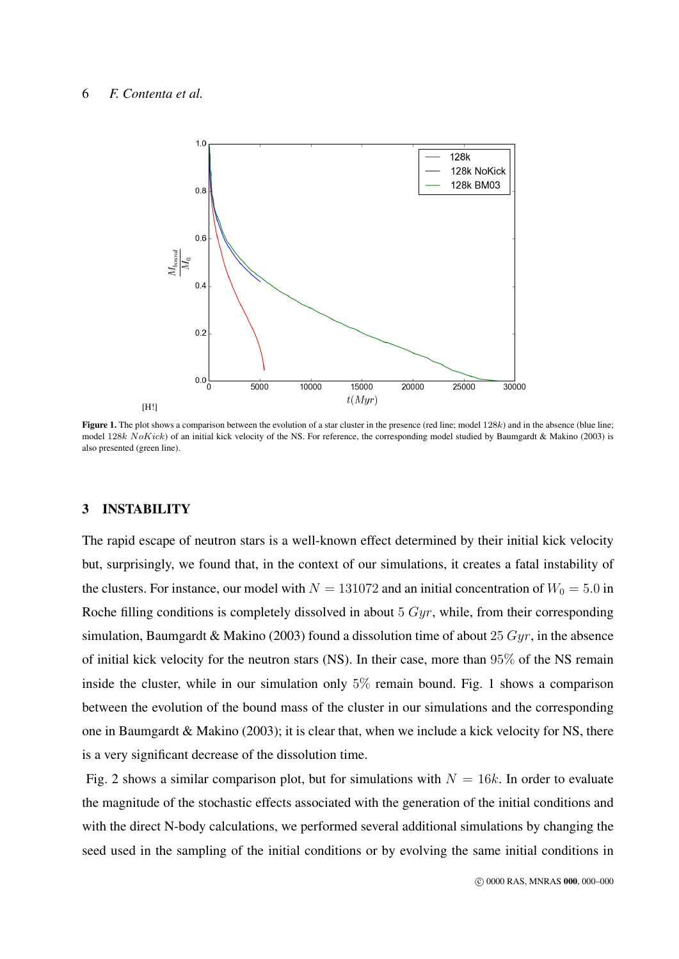

Figure 1. The plot shows a comparison between the evolution of a star cluster in the presence (red line; model 128k) and in the absence (blue line; model 128k NoKick) of an initial kick velocity of the NS. For reference, the corresponding model studied by Baumgardt & Makino (2003) is also presented (green line).

# 3 INSTABILITY

The rapid escape of neutron stars is a well-known effect determined by their initial kick velocity but, surprisingly, we found that, in the context of our simulations, it creates a fatal instability of the clusters. For instance, our model with  $N = 131072$  and an initial concentration of  $W_0 = 5.0$  in Roche filling conditions is completely dissolved in about  $5\ Gyr$ , while, from their corresponding simulation, Baumgardt & Makino (2003) found a dissolution time of about 25  $Gyr$ , in the absence of initial kick velocity for the neutron stars (NS). In their case, more than 95% of the NS remain inside the cluster, while in our simulation only  $5\%$  remain bound. Fig. 1 shows a comparison between the evolution of the bound mass of the cluster in our simulations and the corresponding one in Baumgardt & Makino (2003); it is clear that, when we include a kick velocity for NS, there is a very significant decrease of the dissolution time.

Fig. 2 shows a similar comparison plot, but for simulations with  $N = 16k$ . In order to evaluate the magnitude of the stochastic effects associated with the generation of the initial conditions and with the direct N-body calculations, we performed several additional simulations by changing the seed used in the sampling of the initial conditions or by evolving the same initial conditions in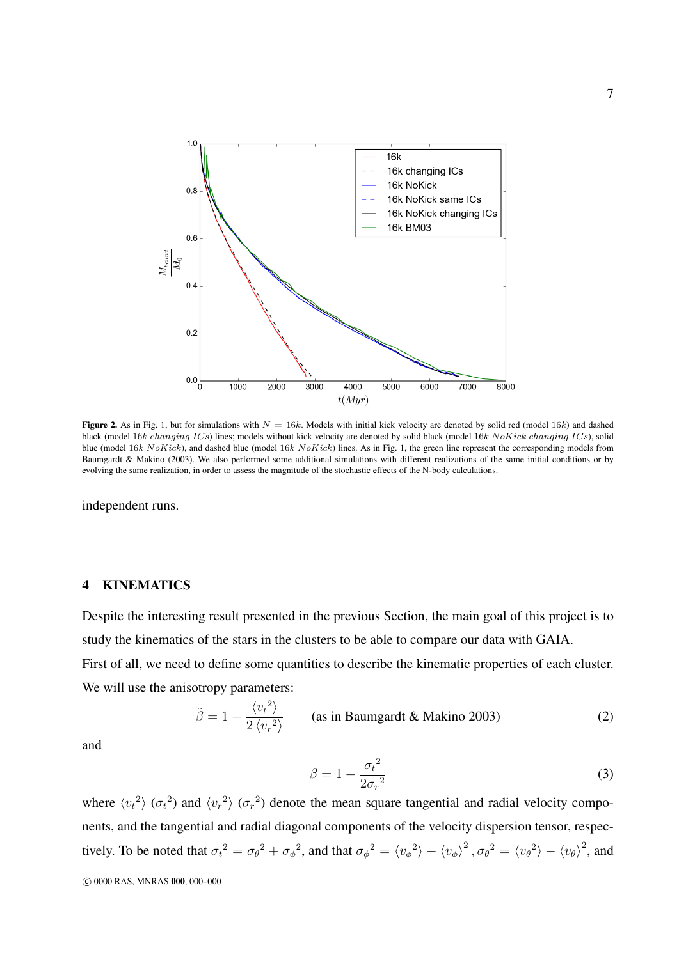

**Figure 2.** As in Fig. 1, but for simulations with  $N = 16k$ . Models with initial kick velocity are denoted by solid red (model 16k) and dashed black (model 16k changing  $ICs$ ) lines; models without kick velocity are denoted by solid black (model 16k NoKick changing ICs), solid blue (model 16k  $N \circ Kick$ ), and dashed blue (model 16k  $N \circ Kick$ ) lines. As in Fig. 1, the green line represent the corresponding models from Baumgardt & Makino (2003). We also performed some additional simulations with different realizations of the same initial conditions or by evolving the same realization, in order to assess the magnitude of the stochastic effects of the N-body calculations.

independent runs.

#### 4 KINEMATICS

Despite the interesting result presented in the previous Section, the main goal of this project is to study the kinematics of the stars in the clusters to be able to compare our data with GAIA. First of all, we need to define some quantities to describe the kinematic properties of each cluster.

We will use the anisotropy parameters:

$$
\tilde{\beta} = 1 - \frac{\langle v_t^2 \rangle}{2 \langle v_r^2 \rangle} \qquad \text{(as in Baumgardt & Makino 2003)} \tag{2}
$$

and

$$
\beta = 1 - \frac{{\sigma_t}^2}{2{\sigma_r}^2} \tag{3}
$$

where  $\langle v_t^2 \rangle$  ( $\sigma_t^2$ ) and  $\langle v_r^2 \rangle$  ( $\sigma_r^2$ ) denote the mean square tangential and radial velocity components, and the tangential and radial diagonal components of the velocity dispersion tensor, respectively. To be noted that  $\sigma_t^2 = \sigma_\theta^2 + \sigma_\phi^2$ , and that  $\sigma_\phi^2 = \langle v_\phi^2 \rangle - \langle v_\phi^2 \rangle^2$ ,  $\sigma_\theta^2 = \langle v_\theta^2 \rangle - \langle v_\theta^2 \rangle^2$ , and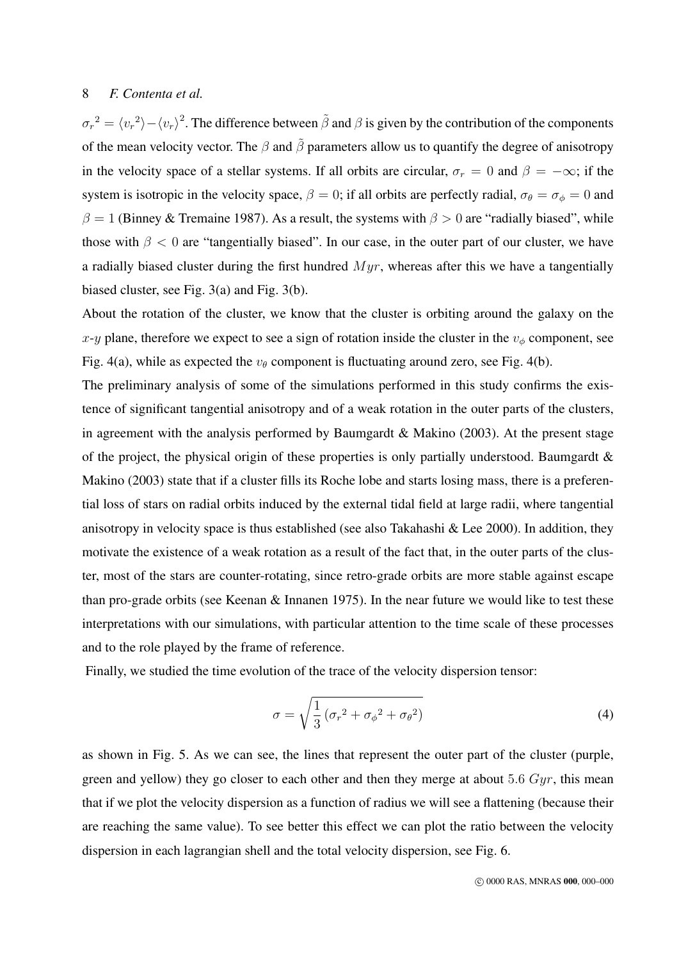$\sigma_r^2 = \langle v_r^2 \rangle - \langle v_r \rangle^2$ . The difference between  $\tilde{\beta}$  and  $\beta$  is given by the contribution of the components of the mean velocity vector. The  $\beta$  and  $\tilde{\beta}$  parameters allow us to quantify the degree of anisotropy in the velocity space of a stellar systems. If all orbits are circular,  $\sigma_r = 0$  and  $\beta = -\infty$ ; if the system is isotropic in the velocity space,  $\beta = 0$ ; if all orbits are perfectly radial,  $\sigma_{\theta} = \sigma_{\phi} = 0$  and  $\beta = 1$  (Binney & Tremaine 1987). As a result, the systems with  $\beta > 0$  are "radially biased", while those with  $\beta$  < 0 are "tangentially biased". In our case, in the outer part of our cluster, we have a radially biased cluster during the first hundred  $Myr$ , whereas after this we have a tangentially biased cluster, see Fig. 3(a) and Fig. 3(b).

About the rotation of the cluster, we know that the cluster is orbiting around the galaxy on the x-y plane, therefore we expect to see a sign of rotation inside the cluster in the  $v_{\phi}$  component, see Fig. 4(a), while as expected the  $v_{\theta}$  component is fluctuating around zero, see Fig. 4(b).

The preliminary analysis of some of the simulations performed in this study confirms the existence of significant tangential anisotropy and of a weak rotation in the outer parts of the clusters, in agreement with the analysis performed by Baumgardt & Makino (2003). At the present stage of the project, the physical origin of these properties is only partially understood. Baumgardt  $\&$ Makino (2003) state that if a cluster fills its Roche lobe and starts losing mass, there is a preferential loss of stars on radial orbits induced by the external tidal field at large radii, where tangential anisotropy in velocity space is thus established (see also Takahashi & Lee 2000). In addition, they motivate the existence of a weak rotation as a result of the fact that, in the outer parts of the cluster, most of the stars are counter-rotating, since retro-grade orbits are more stable against escape than pro-grade orbits (see Keenan & Innanen 1975). In the near future we would like to test these interpretations with our simulations, with particular attention to the time scale of these processes and to the role played by the frame of reference.

Finally, we studied the time evolution of the trace of the velocity dispersion tensor:

$$
\sigma = \sqrt{\frac{1}{3} \left( \sigma_r^2 + \sigma_{\phi}^2 + \sigma_{\theta}^2 \right)}
$$
\n(4)

as shown in Fig. 5. As we can see, the lines that represent the outer part of the cluster (purple, green and yellow) they go closer to each other and then they merge at about 5.6  $Gyr$ , this mean that if we plot the velocity dispersion as a function of radius we will see a flattening (because their are reaching the same value). To see better this effect we can plot the ratio between the velocity dispersion in each lagrangian shell and the total velocity dispersion, see Fig. 6.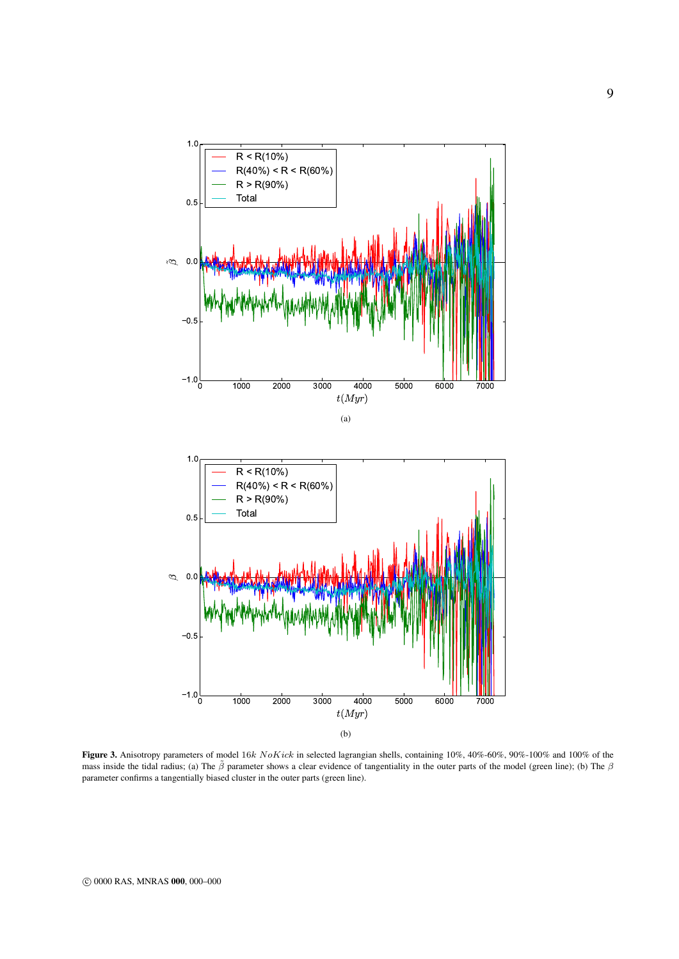

Figure 3. Anisotropy parameters of model 16k NoKick in selected lagrangian shells, containing 10%, 40%-60%, 90%-100% and 100% of the mass inside the tidal radius; (a) The  $\tilde{\beta}$  parameter shows a clear evidence of tangentiality in the outer parts of the model (green line); (b) The  $\beta$ parameter confirms a tangentially biased cluster in the outer parts (green line).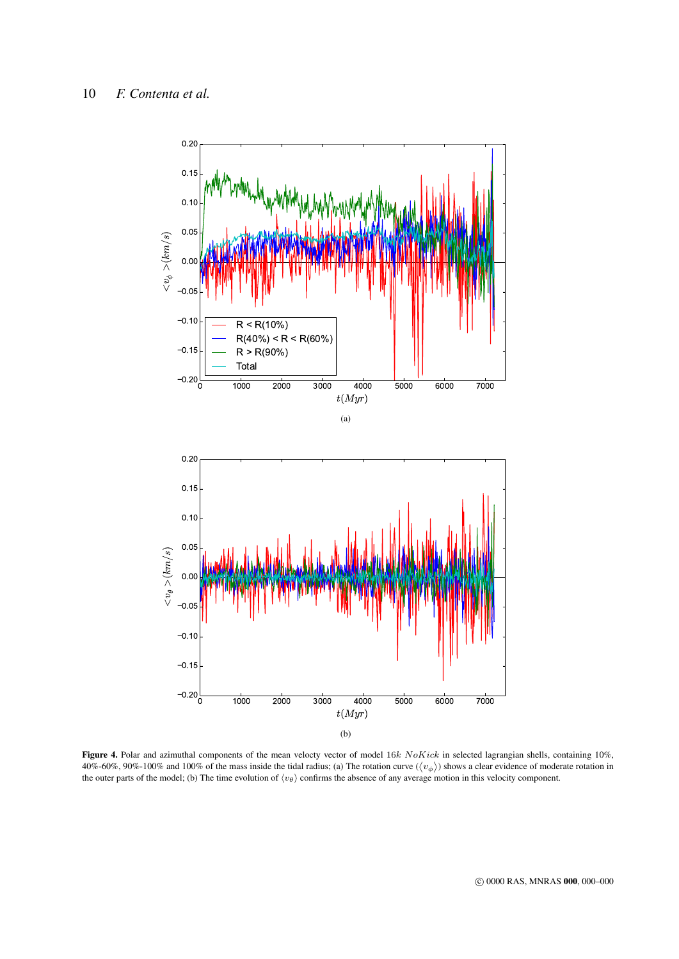

Figure 4. Polar and azimuthal components of the mean velocty vector of model 16k NoKick in selected lagrangian shells, containing 10%, 40%-60%, 90%-100% and 100% of the mass inside the tidal radius; (a) The rotation curve  $(\langle v_{\phi} \rangle)$  shows a clear evidence of moderate rotation in the outer parts of the model; (b) The time evolution of  $\langle v_\theta \rangle$  confirms the absence of any average motion in this velocity component.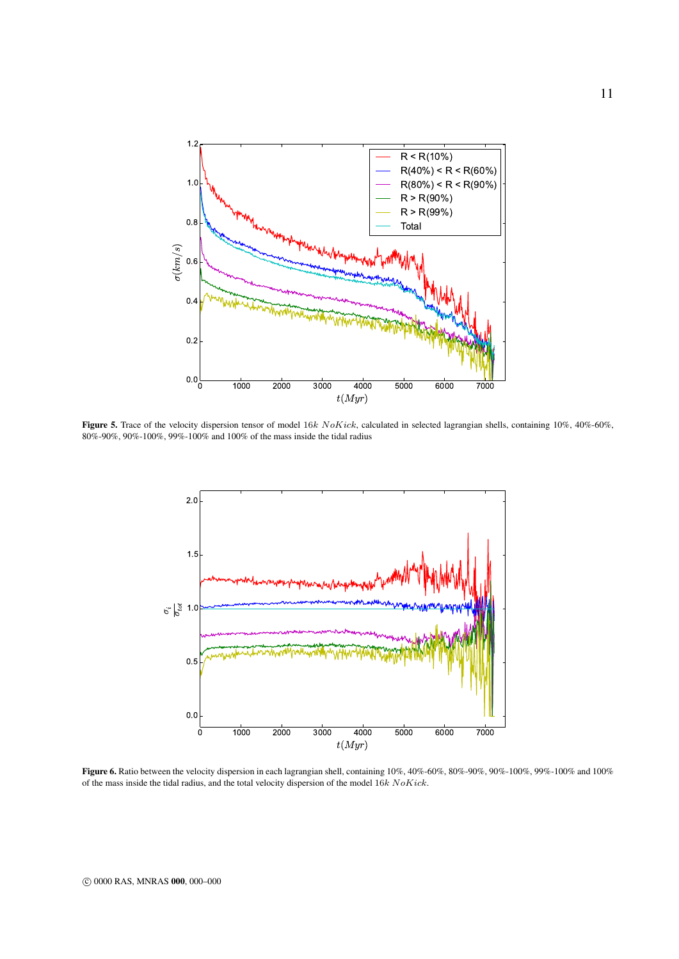

Figure 5. Trace of the velocity dispersion tensor of model 16k NoKick, calculated in selected lagrangian shells, containing 10%, 40%-60%, 80%-90%, 90%-100%, 99%-100% and 100% of the mass inside the tidal radius



Figure 6. Ratio between the velocity dispersion in each lagrangian shell, containing 10%, 40%-60%, 80%-90%, 90%-100%, 99%-100% and 100% of the mass inside the tidal radius, and the total velocity dispersion of the model 16k NoKick.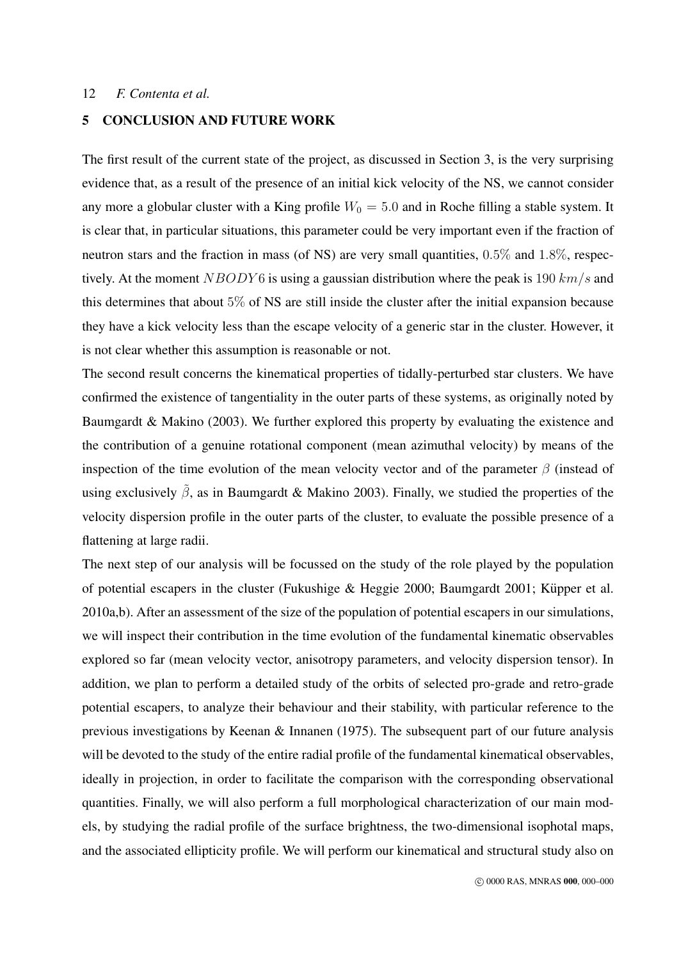# 5 CONCLUSION AND FUTURE WORK

The first result of the current state of the project, as discussed in Section 3, is the very surprising evidence that, as a result of the presence of an initial kick velocity of the NS, we cannot consider any more a globular cluster with a King profile  $W_0 = 5.0$  and in Roche filling a stable system. It is clear that, in particular situations, this parameter could be very important even if the fraction of neutron stars and the fraction in mass (of NS) are very small quantities, 0.5% and 1.8%, respectively. At the moment  $NBODY6$  is using a gaussian distribution where the peak is 190  $km/s$  and this determines that about 5% of NS are still inside the cluster after the initial expansion because they have a kick velocity less than the escape velocity of a generic star in the cluster. However, it is not clear whether this assumption is reasonable or not.

The second result concerns the kinematical properties of tidally-perturbed star clusters. We have confirmed the existence of tangentiality in the outer parts of these systems, as originally noted by Baumgardt & Makino (2003). We further explored this property by evaluating the existence and the contribution of a genuine rotational component (mean azimuthal velocity) by means of the inspection of the time evolution of the mean velocity vector and of the parameter  $\beta$  (instead of using exclusively  $\tilde{\beta}$ , as in Baumgardt & Makino 2003). Finally, we studied the properties of the velocity dispersion profile in the outer parts of the cluster, to evaluate the possible presence of a flattening at large radii.

The next step of our analysis will be focussed on the study of the role played by the population of potential escapers in the cluster (Fukushige & Heggie 2000; Baumgardt 2001; Küpper et al. 2010a,b). After an assessment of the size of the population of potential escapers in our simulations, we will inspect their contribution in the time evolution of the fundamental kinematic observables explored so far (mean velocity vector, anisotropy parameters, and velocity dispersion tensor). In addition, we plan to perform a detailed study of the orbits of selected pro-grade and retro-grade potential escapers, to analyze their behaviour and their stability, with particular reference to the previous investigations by Keenan & Innanen (1975). The subsequent part of our future analysis will be devoted to the study of the entire radial profile of the fundamental kinematical observables, ideally in projection, in order to facilitate the comparison with the corresponding observational quantities. Finally, we will also perform a full morphological characterization of our main models, by studying the radial profile of the surface brightness, the two-dimensional isophotal maps, and the associated ellipticity profile. We will perform our kinematical and structural study also on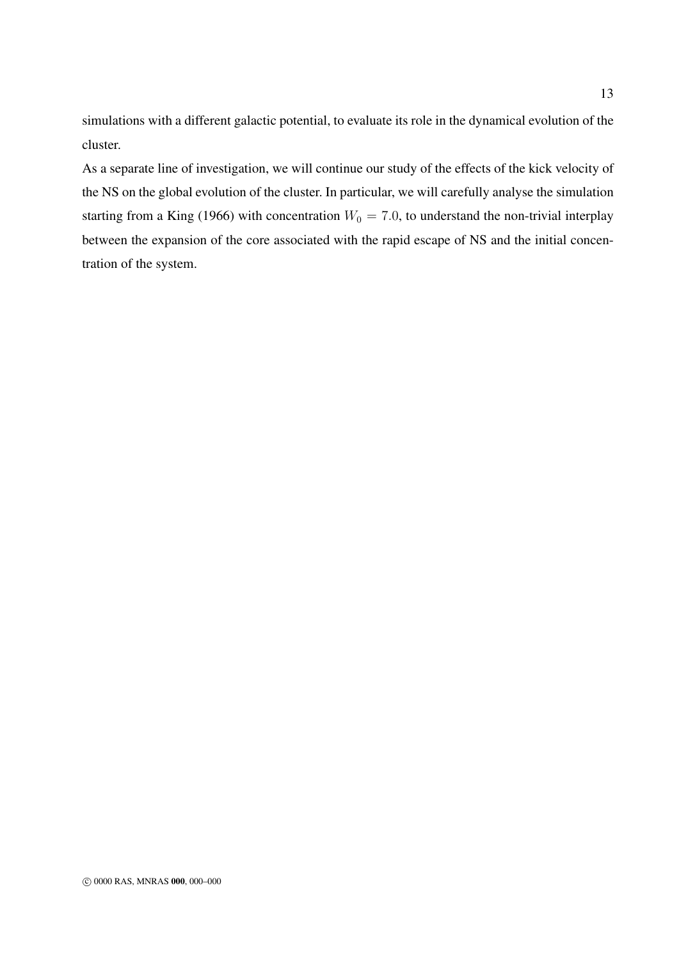simulations with a different galactic potential, to evaluate its role in the dynamical evolution of the cluster.

As a separate line of investigation, we will continue our study of the effects of the kick velocity of the NS on the global evolution of the cluster. In particular, we will carefully analyse the simulation starting from a King (1966) with concentration  $W_0 = 7.0$ , to understand the non-trivial interplay between the expansion of the core associated with the rapid escape of NS and the initial concentration of the system.